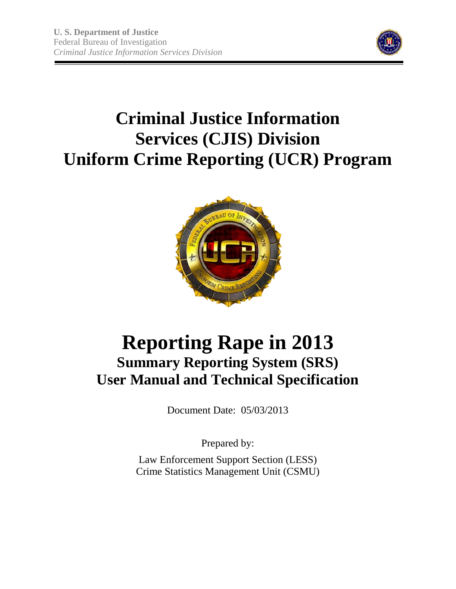

# **Criminal Justice Information Services (CJIS) Division Uniform Crime Reporting (UCR) Program**



## **Reporting Rape in 2013 Summary Reporting System (SRS) User Manual and Technical Specification**

Document Date: 05/03/2013

Prepared by:

Law Enforcement Support Section (LESS) Crime Statistics Management Unit (CSMU)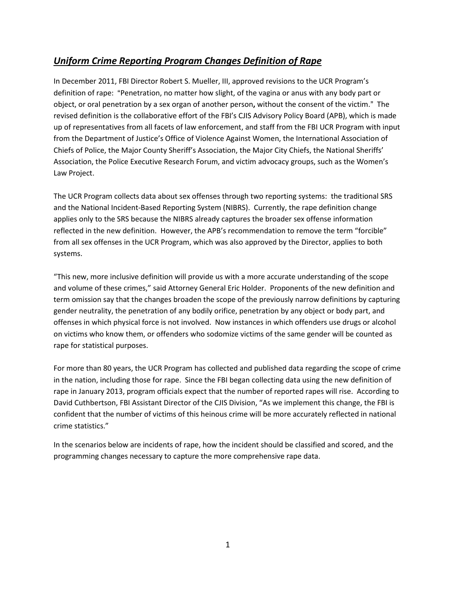## *Uniform Crime Reporting Program Changes Definition of Rape*

In December 2011, FBI Director Robert S. Mueller, III, approved revisions to the UCR Program's definition of rape: "Penetration, no matter how slight, of the vagina or anus with any body part or object, or oral penetration by a sex organ of another person, without the consent of the victim." The revised definition is the collaborative effort of the FBI's CJIS Advisory Policy Board (APB), which is made up of representatives from all facets of law enforcement, and staff from the FBI UCR Program with input from the Department of Justice's Office of Violence Against Women, the International Association of Chiefs of Police, the Major County Sheriff's Association, the Major City Chiefs, the National Sheriffs' Association, the Police Executive Research Forum, and victim advocacy groups, such as the Women's Law Project.

The UCR Program collects data about sex offenses through two reporting systems: the traditional SRS and the National Incident-Based Reporting System (NIBRS). Currently, the rape definition change applies only to the SRS because the NIBRS already captures the broader sex offense information reflected in the new definition. However, the APB's recommendation to remove the term "forcible" from all sex offenses in the UCR Program, which was also approved by the Director, applies to both systems.

"This new, more inclusive definition will provide us with a more accurate understanding of the scope and volume of these crimes," said Attorney General Eric Holder. Proponents of the new definition and term omission say that the changes broaden the scope of the previously narrow definitions by capturing gender neutrality, the penetration of any bodily orifice, penetration by any object or body part, and offenses in which physical force is not involved. Now instances in which offenders use drugs or alcohol on victims who know them, or offenders who sodomize victims of the same gender will be counted as rape for statistical purposes.

For more than 80 years, the UCR Program has collected and published data regarding the scope of crime in the nation, including those for rape. Since the FBI began collecting data using the new definition of rape in January 2013, program officials expect that the number of reported rapes will rise. According to David Cuthbertson, FBI Assistant Director of the CJIS Division, "As we implement this change, the FBI is confident that the number of victims of this heinous crime will be more accurately reflected in national crime statistics."

In the scenarios below are incidents of rape, how the incident should be classified and scored, and the programming changes necessary to capture the more comprehensive rape data.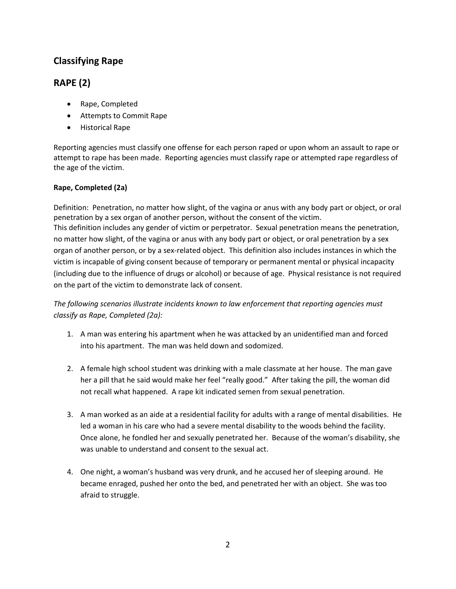## **Classifying Rape**

## **RAPE (2)**

- Rape, Completed
- Attempts to Commit Rape
- Historical Rape

Reporting agencies must classify one offense for each person raped or upon whom an assault to rape or attempt to rape has been made. Reporting agencies must classify rape or attempted rape regardless of the age of the victim.

### **Rape, Completed (2a)**

Definition: Penetration, no matter how slight, of the vagina or anus with any body part or object, or oral penetration by a sex organ of another person, without the consent of the victim. This definition includes any gender of victim or perpetrator. Sexual penetration means the penetration, no matter how slight, of the vagina or anus with any body part or object, or oral penetration by a sex organ of another person, or by a sex-related object. This definition also includes instances in which the victim is incapable of giving consent because of temporary or permanent mental or physical incapacity (including due to the influence of drugs or alcohol) or because of age. Physical resistance is not required on the part of the victim to demonstrate lack of consent.

*The following scenarios illustrate incidents known to law enforcement that reporting agencies must classify as Rape, Completed (2a):*

- 1. A man was entering his apartment when he was attacked by an unidentified man and forced into his apartment. The man was held down and sodomized.
- 2. A female high school student was drinking with a male classmate at her house. The man gave her a pill that he said would make her feel "really good." After taking the pill, the woman did not recall what happened. A rape kit indicated semen from sexual penetration.
- 3. A man worked as an aide at a residential facility for adults with a range of mental disabilities. He led a woman in his care who had a severe mental disability to the woods behind the facility. Once alone, he fondled her and sexually penetrated her. Because of the woman's disability, she was unable to understand and consent to the sexual act.
- 4. One night, a woman's husband was very drunk, and he accused her of sleeping around. He became enraged, pushed her onto the bed, and penetrated her with an object. She was too afraid to struggle.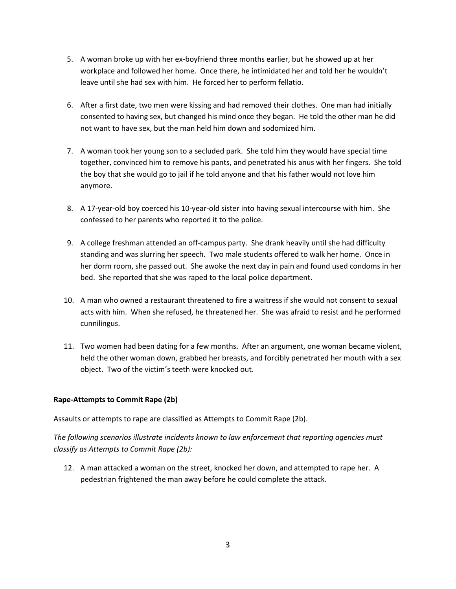- 5. A woman broke up with her ex-boyfriend three months earlier, but he showed up at her workplace and followed her home. Once there, he intimidated her and told her he wouldn't leave until she had sex with him. He forced her to perform fellatio.
- 6. After a first date, two men were kissing and had removed their clothes. One man had initially consented to having sex, but changed his mind once they began. He told the other man he did not want to have sex, but the man held him down and sodomized him.
- 7. A woman took her young son to a secluded park. She told him they would have special time together, convinced him to remove his pants, and penetrated his anus with her fingers. She told the boy that she would go to jail if he told anyone and that his father would not love him anymore.
- 8. A 17-year-old boy coerced his 10-year-old sister into having sexual intercourse with him. She confessed to her parents who reported it to the police.
- 9. A college freshman attended an off-campus party. She drank heavily until she had difficulty standing and was slurring her speech. Two male students offered to walk her home. Once in her dorm room, she passed out. She awoke the next day in pain and found used condoms in her bed. She reported that she was raped to the local police department.
- 10. A man who owned a restaurant threatened to fire a waitress if she would not consent to sexual acts with him. When she refused, he threatened her. She was afraid to resist and he performed cunnilingus.
- 11. Two women had been dating for a few months. After an argument, one woman became violent, held the other woman down, grabbed her breasts, and forcibly penetrated her mouth with a sex object. Two of the victim's teeth were knocked out.

#### **Rape-Attempts to Commit Rape (2b)**

Assaults or attempts to rape are classified as Attempts to Commit Rape (2b).

*The following scenarios illustrate incidents known to law enforcement that reporting agencies must classify as Attempts to Commit Rape (2b):*

12. A man attacked a woman on the street, knocked her down, and attempted to rape her. A pedestrian frightened the man away before he could complete the attack.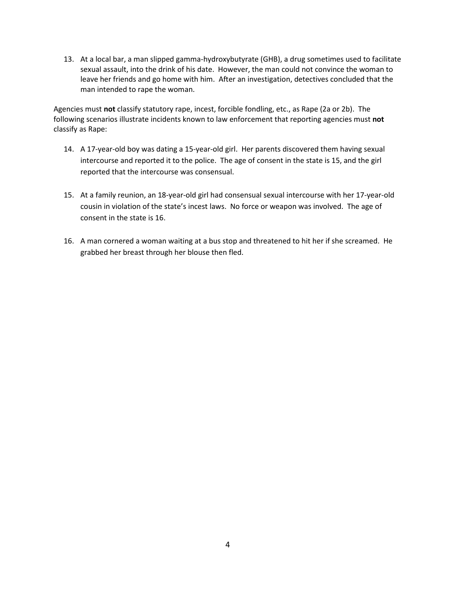13. At a local bar, a man slipped gamma-hydroxybutyrate (GHB), a drug sometimes used to facilitate sexual assault, into the drink of his date. However, the man could not convince the woman to leave her friends and go home with him. After an investigation, detectives concluded that the man intended to rape the woman.

Agencies must **not** classify statutory rape, incest, forcible fondling, etc., as Rape (2a or 2b). The following scenarios illustrate incidents known to law enforcement that reporting agencies must **not** classify as Rape:

- 14. A 17-year-old boy was dating a 15-year-old girl. Her parents discovered them having sexual intercourse and reported it to the police. The age of consent in the state is 15, and the girl reported that the intercourse was consensual.
- 15. At a family reunion, an 18-year-old girl had consensual sexual intercourse with her 17-year-old cousin in violation of the state's incest laws. No force or weapon was involved. The age of consent in the state is 16.
- 16. A man cornered a woman waiting at a bus stop and threatened to hit her if she screamed. He grabbed her breast through her blouse then fled.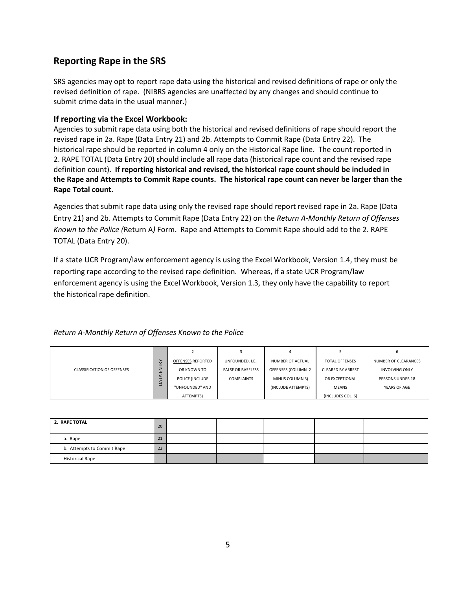## **Reporting Rape in the SRS**

SRS agencies may opt to report rape data using the historical and revised definitions of rape or only the revised definition of rape. (NIBRS agencies are unaffected by any changes and should continue to submit crime data in the usual manner.)

#### **If reporting via the Excel Workbook:**

Agencies to submit rape data using both the historical and revised definitions of rape should report the revised rape in 2a. Rape (Data Entry 21) and 2b. Attempts to Commit Rape (Data Entry 22). The historical rape should be reported in column 4 only on the Historical Rape line. The count reported in 2. RAPE TOTAL (Data Entry 20) should include all rape data (historical rape count and the revised rape definition count). **If reporting historical and revised, the historical rape count should be included in the Rape and Attempts to Commit Rape counts. The historical rape count can never be larger than the Rape Total count.**

Agencies that submit rape data using only the revised rape should report revised rape in 2a. Rape (Data Entry 21) and 2b. Attempts to Commit Rape (Data Entry 22) on the *Return A-Monthly Return of Offenses Known to the Police (*Return A*)* Form. Rape and Attempts to Commit Rape should add to the 2. RAPE TOTAL (Data Entry 20).

If a state UCR Program/law enforcement agency is using the Excel Workbook, Version 1.4, they must be reporting rape according to the revised rape definition. Whereas, if a state UCR Program/law enforcement agency is using the Excel Workbook, Version 1.3, they only have the capability to report the historical rape definition.

#### *Return A-Monthly Return of Offenses Known to the Police*

|                                   |       |                          |                          |                    |                          | n                     |
|-----------------------------------|-------|--------------------------|--------------------------|--------------------|--------------------------|-----------------------|
|                                   | 1.1.1 | <b>OFFENSES REPORTED</b> | UNFOUNDED, I.E.,         | NUMBER OF ACTUAL   | <b>TOTAL OFFENSES</b>    | NUMBER OF CLEARANCES  |
| <b>CLASSIFICATION OF OFFENSES</b> |       | OR KNOWN TO              | <b>FALSE OR BASELESS</b> | OFFENSES (COLUMN 2 | <b>CLEARED BY ARREST</b> | <b>INVOLVING ONLY</b> |
|                                   | G     | POLICE (INCLUDE          | <b>COMPLAINTS</b>        | MINUS COLUMN 3)    | OR EXCEPTIONAL           | PERSONS UNDER 18      |
|                                   |       | "UNFOUNDED" AND          |                          | (INCLUDE ATTEMPTS) | <b>MEANS</b>             | YEARS OF AGE          |
|                                   |       | ATTEMPTS)                |                          |                    | (INCLUDES COL. 6)        |                       |

| 2. RAPE TOTAL              | 20 |  |  |  |
|----------------------------|----|--|--|--|
| a. Rape                    | 21 |  |  |  |
| b. Attempts to Commit Rape | 22 |  |  |  |
| <b>Historical Rape</b>     |    |  |  |  |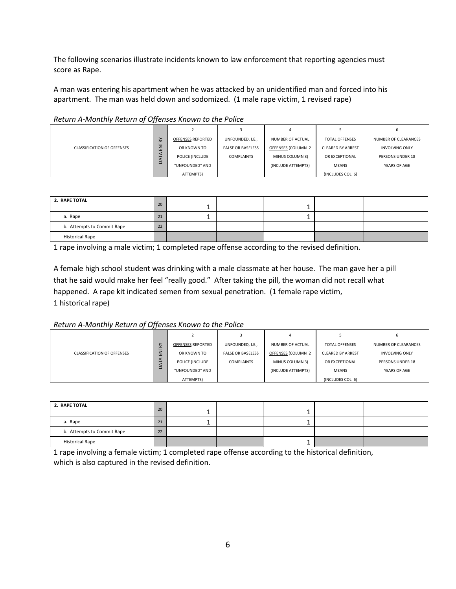The following scenarios illustrate incidents known to law enforcement that reporting agencies must score as Rape.

A man was entering his apartment when he was attacked by an unidentified man and forced into his apartment. The man was held down and sodomized. (1 male rape victim, 1 revised rape)

|                                   |                 |                   |                          |                    |                          | b                     |
|-----------------------------------|-----------------|-------------------|--------------------------|--------------------|--------------------------|-----------------------|
|                                   | ⋩               | OFFENSES REPORTED | UNFOUNDED, I.E.,         | NUMBER OF ACTUAL   | <b>TOTAL OFFENSES</b>    | NUMBER OF CLEARANCES  |
| <b>CLASSIFICATION OF OFFENSES</b> | –<br><b>LLI</b> | OR KNOWN TO       | <b>FALSE OR BASELESS</b> | OFFENSES (COLUMN 2 | <b>CLEARED BY ARREST</b> | <b>INVOLVING ONLY</b> |
|                                   |                 | POLICE (INCLUDE   | <b>COMPLAINTS</b>        | MINUS COLUMN 3)    | OR EXCEPTIONAL           | PERSONS UNDER 18      |
|                                   | $\Omega$        | "UNFOUNDED" AND   |                          | (INCLUDE ATTEMPTS) | <b>MEANS</b>             | YEARS OF AGE          |
|                                   |                 | ATTEMPTS)         |                          |                    | (INCLUDES COL. 6)        |                       |

*Return A-Monthly Return of Offenses Known to the Police*

| 2. RAPE TOTAL              | 20 |  |  |  |
|----------------------------|----|--|--|--|
| a. Rape                    | 21 |  |  |  |
| b. Attempts to Commit Rape | 22 |  |  |  |
| <b>Historical Rape</b>     |    |  |  |  |

1 rape involving a male victim; 1 completed rape offense according to the revised definition.

A female high school student was drinking with a male classmate at her house. The man gave her a pill that he said would make her feel "really good." After taking the pill, the woman did not recall what happened. A rape kit indicated semen from sexual penetration. (1 female rape victim, 1 historical rape)

#### *Return A-Monthly Return of Offenses Known to the Police*

|                                   | ⋩ | <b>OFFENSES REPORTED</b> | UNFOUNDED, I.E.,         | NUMBER OF ACTUAL   | <b>TOTAL OFFENSES</b>    | NUMBER OF CLEARANCES  |
|-----------------------------------|---|--------------------------|--------------------------|--------------------|--------------------------|-----------------------|
| <b>CLASSIFICATION OF OFFENSES</b> | ے | OR KNOWN TO              | <b>FALSE OR BASELESS</b> | OFFENSES (COLUMN 2 | <b>CLEARED BY ARREST</b> | <b>INVOLVING ONLY</b> |
|                                   | a | POLICE (INCLUDE          | <b>COMPLAINTS</b>        | MINUS COLUMN 3)    | OR EXCEPTIONAL           | PERSONS UNDER 18      |
|                                   | ≏ | "UNFOUNDED" AND          |                          | (INCLUDE ATTEMPTS) | MEANS                    | YEARS OF AGE          |
|                                   |   | ATTEMPTS)                |                          |                    | (INCLUDES COL. 6)        |                       |

| 2. RAPE TOTAL              | 20 |  |  |  |
|----------------------------|----|--|--|--|
| a. Rape                    | 21 |  |  |  |
| b. Attempts to Commit Rape | 22 |  |  |  |
| <b>Historical Rape</b>     |    |  |  |  |

1 rape involving a female victim; 1 completed rape offense according to the historical definition, which is also captured in the revised definition.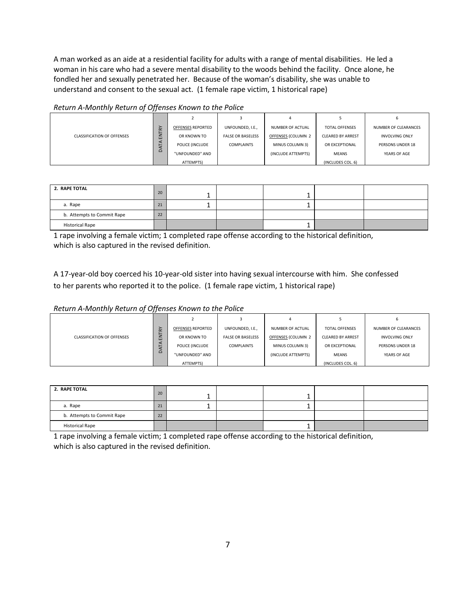A man worked as an aide at a residential facility for adults with a range of mental disabilities. He led a woman in his care who had a severe mental disability to the woods behind the facility. Once alone, he fondled her and sexually penetrated her. Because of the woman's disability, she was unable to understand and consent to the sexual act. (1 female rape victim, 1 historical rape)

*Return A-Monthly Return of Offenses Known to the Police*

|                                   |        |                          |                          |                    |                          | b                     |
|-----------------------------------|--------|--------------------------|--------------------------|--------------------|--------------------------|-----------------------|
|                                   | ⋩      | <b>OFFENSES REPORTED</b> | UNFOUNDED, I.E.,         | NUMBER OF ACTUAL   | <b>TOTAL OFFENSES</b>    | NUMBER OF CLEARANCES  |
| <b>CLASSIFICATION OF OFFENSES</b> | ш      | OR KNOWN TO              | <b>FALSE OR BASELESS</b> | OFFENSES (COLUMN 2 | <b>CLEARED BY ARREST</b> | <b>INVOLVING ONLY</b> |
|                                   |        | POLICE (INCLUDE          | <b>COMPLAINTS</b>        | MINUS COLUMN 3)    | OR EXCEPTIONAL           | PERSONS UNDER 18      |
|                                   | $\Box$ | "UNFOUNDED" AND          |                          | (INCLUDE ATTEMPTS) | <b>MEANS</b>             | YEARS OF AGE          |
|                                   |        | ATTEMPTS)                |                          |                    | (INCLUDES COL. 6)        |                       |

| 2. RAPE TOTAL              | 20 <sup>1</sup> |  |  |  |
|----------------------------|-----------------|--|--|--|
| a. Rape                    | 21              |  |  |  |
| b. Attempts to Commit Rape | 22              |  |  |  |
| <b>Historical Rape</b>     |                 |  |  |  |

1 rape involving a female victim; 1 completed rape offense according to the historical definition, which is also captured in the revised definition.

A 17-year-old boy coerced his 10-year-old sister into having sexual intercourse with him. She confessed to her parents who reported it to the police. (1 female rape victim, 1 historical rape)

*Return A-Monthly Return of Offenses Known to the Police*

|                                   |   | <b>OFFENSES REPORTED</b> | UNFOUNDED, I.E.,         | NUMBER OF ACTUAL   | <b>TOTAL OFFENSES</b>    | NUMBER OF CLEARANCES  |
|-----------------------------------|---|--------------------------|--------------------------|--------------------|--------------------------|-----------------------|
| <b>CLASSIFICATION OF OFFENSES</b> |   | OR KNOWN TO              | <b>FALSE OR BASELESS</b> | OFFENSES (COLUMN 2 | <b>CLEARED BY ARREST</b> | <b>INVOLVING ONLY</b> |
|                                   | ◅ | POLICE (INCLUDE          | <b>COMPLAINTS</b>        | MINUS COLUMN 3)    | OR EXCEPTIONAL           | PERSONS UNDER 18      |
|                                   | ≏ | "UNFOUNDED" AND          |                          | (INCLUDE ATTEMPTS) | <b>MEANS</b>             | YEARS OF AGE          |
|                                   |   | ATTEMPTS)                |                          |                    | (INCLUDES COL. 6)        |                       |

| 2. RAPE TOTAL              | 20 <sub>2</sub> |  |  |  |
|----------------------------|-----------------|--|--|--|
| a. Rape                    | 21              |  |  |  |
| b. Attempts to Commit Rape | 22              |  |  |  |
| <b>Historical Rape</b>     |                 |  |  |  |

1 rape involving a female victim; 1 completed rape offense according to the historical definition, which is also captured in the revised definition.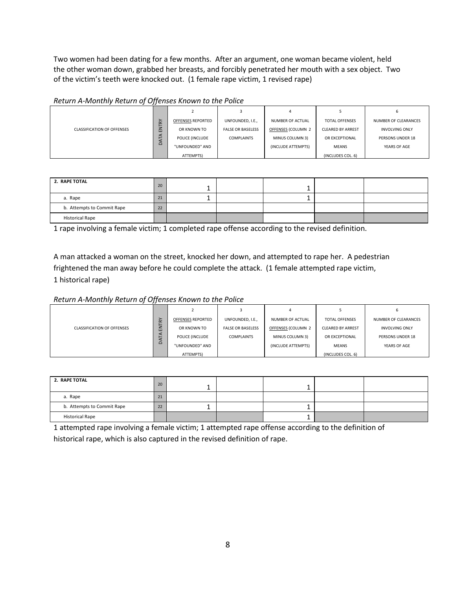Two women had been dating for a few months. After an argument, one woman became violent, held the other woman down, grabbed her breasts, and forcibly penetrated her mouth with a sex object. Two of the victim's teeth were knocked out. (1 female rape victim, 1 revised rape)

*Return A-Monthly Return of Offenses Known to the Police*

|                                   |          |                          |                          |                    |                          | O                     |
|-----------------------------------|----------|--------------------------|--------------------------|--------------------|--------------------------|-----------------------|
|                                   | ⋩        | <b>OFFENSES REPORTED</b> | UNFOUNDED, I.E.,         | NUMBER OF ACTUAL   | <b>TOTAL OFFENSES</b>    | NUMBER OF CLEARANCES  |
| <b>CLASSIFICATION OF OFFENSES</b> | -<br>ш   | OR KNOWN TO              | <b>FALSE OR BASELESS</b> | OFFENSES (COLUMN 2 | <b>CLEARED BY ARREST</b> | <b>INVOLVING ONLY</b> |
|                                   |          | POLICE (INCLUDE          | <b>COMPLAINTS</b>        | MINUS COLUMN 3)    | OR EXCEPTIONAL           | PERSONS UNDER 18      |
|                                   | $\Omega$ | "UNFOUNDED" AND          |                          | (INCLUDE ATTEMPTS) | <b>MEANS</b>             | YEARS OF AGE          |
|                                   |          | ATTEMPTS)                |                          |                    | (INCLUDES COL. 6)        |                       |

| 2. RAPE TOTAL              | 20 <sup>°</sup> |  |  |  |
|----------------------------|-----------------|--|--|--|
| a. Rape                    | 21              |  |  |  |
| b. Attempts to Commit Rape | 22              |  |  |  |
| <b>Historical Rape</b>     |                 |  |  |  |

1 rape involving a female victim; 1 completed rape offense according to the revised definition.

A man attacked a woman on the street, knocked her down, and attempted to rape her. A pedestrian frightened the man away before he could complete the attack. (1 female attempted rape victim, 1 historical rape)

*Return A-Monthly Return of Offenses Known to the Police*

| <b>CLASSIFICATION OF OFFENSES</b> | 能<br>–<br>둡<br>$\Box$ | <b>OFFENSES REPORTED</b> | UNFOUNDED, I.E.,         | NUMBER OF ACTUAL   | <b>TOTAL OFFENSES</b>    | NUMBER OF CLEARANCES  |
|-----------------------------------|-----------------------|--------------------------|--------------------------|--------------------|--------------------------|-----------------------|
|                                   |                       | OR KNOWN TO              | <b>FALSE OR BASELESS</b> | OFFENSES (COLUMN 2 | <b>CLEARED BY ARREST</b> | <b>INVOLVING ONLY</b> |
|                                   |                       | POLICE (INCLUDE          | <b>COMPLAINTS</b>        | MINUS COLUMN 3)    | OR EXCEPTIONAL           | PERSONS UNDER 18      |
|                                   |                       | "UNFOUNDED" AND          |                          | (INCLUDE ATTEMPTS) | MEANS                    | YEARS OF AGE          |
|                                   |                       | ATTEMPTS)                |                          |                    | (INCLUDES COL. 6)        |                       |

| 2. RAPE TOTAL              | 20 |  |  |  |
|----------------------------|----|--|--|--|
| a. Rape                    | 21 |  |  |  |
| b. Attempts to Commit Rape | 22 |  |  |  |
| <b>Historical Rape</b>     |    |  |  |  |

1 attempted rape involving a female victim; 1 attempted rape offense according to the definition of historical rape, which is also captured in the revised definition of rape.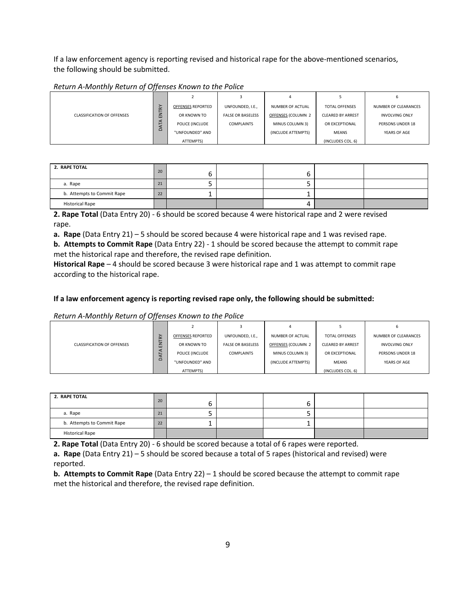If a law enforcement agency is reporting revised and historical rape for the above-mentioned scenarios, the following should be submitted.

*Return A-Monthly Return of Offenses Known to the Police*

| <b>CLASSIFICATION OF OFFENSES</b> | ш<br>≏ |                          |                          |                    |                          | b                     |
|-----------------------------------|--------|--------------------------|--------------------------|--------------------|--------------------------|-----------------------|
|                                   |        | <b>OFFENSES REPORTED</b> | UNFOUNDED, I.E.,         | NUMBER OF ACTUAL   | <b>TOTAL OFFENSES</b>    | NUMBER OF CLEARANCES  |
|                                   |        | OR KNOWN TO              | <b>FALSE OR BASELESS</b> | OFFENSES (COLUMN 2 | <b>CLEARED BY ARREST</b> | <b>INVOLVING ONLY</b> |
|                                   |        | POLICE (INCLUDE          | <b>COMPLAINTS</b>        | MINUS COLUMN 3)    | OR EXCEPTIONAL           | PERSONS UNDER 18      |
|                                   |        | "UNFOUNDED" AND          |                          | (INCLUDE ATTEMPTS) | MEANS                    | YEARS OF AGE          |
|                                   |        | ATTEMPTS)                |                          |                    | (INCLUDES COL. 6)        |                       |

| 2. RAPE TOTAL              | 20 |  |  |  |
|----------------------------|----|--|--|--|
| a. Rape                    | 21 |  |  |  |
| b. Attempts to Commit Rape | 22 |  |  |  |
| <b>Historical Rape</b>     |    |  |  |  |

**2. Rape Total** (Data Entry 20) - 6 should be scored because 4 were historical rape and 2 were revised rape.

**a. Rape** (Data Entry 21) – 5 should be scored because 4 were historical rape and 1 was revised rape.

**b. Attempts to Commit Rape** (Data Entry 22) - 1 should be scored because the attempt to commit rape met the historical rape and therefore, the revised rape definition.

**Historical Rape** – 4 should be scored because 3 were historical rape and 1 was attempt to commit rape according to the historical rape.

#### **If a law enforcement agency is reporting revised rape only, the following should be submitted:**

*Return A-Monthly Return of Offenses Known to the Police*

|                                   |        |                          |                          |                    |                          | o                     |
|-----------------------------------|--------|--------------------------|--------------------------|--------------------|--------------------------|-----------------------|
| <b>CLASSIFICATION OF OFFENSES</b> | a<br>≏ | <b>OFFENSES REPORTED</b> | UNFOUNDED, I.E.,         | NUMBER OF ACTUAL   | <b>TOTAL OFFENSES</b>    | NUMBER OF CLEARANCES  |
|                                   |        | OR KNOWN TO              | <b>FALSE OR BASELESS</b> | OFFENSES (COLUMN 2 | <b>CLEARED BY ARREST</b> | <b>INVOLVING ONLY</b> |
|                                   |        | POLICE (INCLUDE          | <b>COMPLAINTS</b>        | MINUS COLUMN 3)    | OR EXCEPTIONAL           | PERSONS UNDER 18      |
|                                   |        | "UNFOUNDED" AND          |                          | (INCLUDE ATTEMPTS) | <b>MEANS</b>             | YEARS OF AGE          |
|                                   |        | ATTEMPTS)                |                          |                    | (INCLUDES COL. 6)        |                       |

| 2. RAPE TOTAL              | 20 <sub>2</sub> |  |  |  |
|----------------------------|-----------------|--|--|--|
| a. Rape                    | 21              |  |  |  |
| b. Attempts to Commit Rape | 22              |  |  |  |
| <b>Historical Rape</b>     |                 |  |  |  |

**2. Rape Total** (Data Entry 20) - 6 should be scored because a total of 6 rapes were reported.

**a. Rape** (Data Entry 21) – 5 should be scored because a total of 5 rapes (historical and revised) were reported.

**b. Attempts to Commit Rape** (Data Entry 22) – 1 should be scored because the attempt to commit rape met the historical and therefore, the revised rape definition.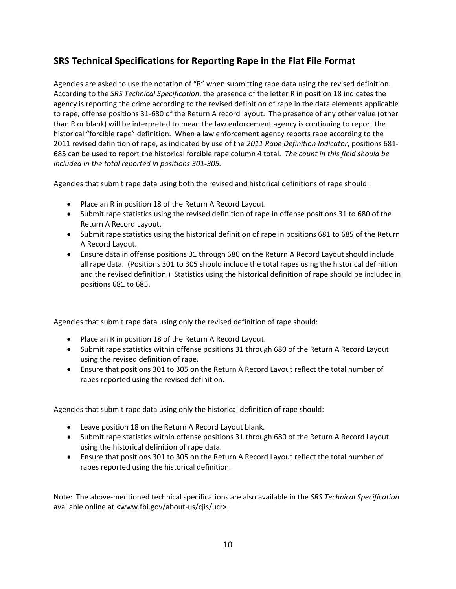## **SRS Technical Specifications for Reporting Rape in the Flat File Format**

Agencies are asked to use the notation of "R" when submitting rape data using the revised definition. According to the *SRS Technical Specification*, the presence of the letter R in position 18 indicates the agency is reporting the crime according to the revised definition of rape in the data elements applicable to rape, offense positions 31-680 of the Return A record layout. The presence of any other value (other than R or blank) will be interpreted to mean the law enforcement agency is continuing to report the historical "forcible rape" definition. When a law enforcement agency reports rape according to the 2011 revised definition of rape, as indicated by use of the *2011 Rape Definition Indicator*, positions 681- 685 can be used to report the historical forcible rape column 4 total. *The count in this field should be included in the total reported in positions 301***-***305.*

Agencies that submit rape data using both the revised and historical definitions of rape should:

- Place an R in position 18 of the Return A Record Layout.
- Submit rape statistics using the revised definition of rape in offense positions 31 to 680 of the Return A Record Layout.
- Submit rape statistics using the historical definition of rape in positions 681 to 685 of the Return A Record Layout.
- Ensure data in offense positions 31 through 680 on the Return A Record Layout should include all rape data. (Positions 301 to 305 should include the total rapes using the historical definition and the revised definition.) Statistics using the historical definition of rape should be included in positions 681 to 685.

Agencies that submit rape data using only the revised definition of rape should:

- Place an R in position 18 of the Return A Record Layout.
- Submit rape statistics within offense positions 31 through 680 of the Return A Record Layout using the revised definition of rape.
- Ensure that positions 301 to 305 on the Return A Record Layout reflect the total number of rapes reported using the revised definition.

Agencies that submit rape data using only the historical definition of rape should:

- Leave position 18 on the Return A Record Layout blank.
- Submit rape statistics within offense positions 31 through 680 of the Return A Record Layout using the historical definition of rape data.
- Ensure that positions 301 to 305 on the Return A Record Layout reflect the total number of rapes reported using the historical definition.

Note: The above-mentioned technical specifications are also available in the *SRS Technical Specification*  available online at [<www.fbi.gov/about-us/cjis/ucr>](http://www.fbi.gov/about-us/cjis/ucr).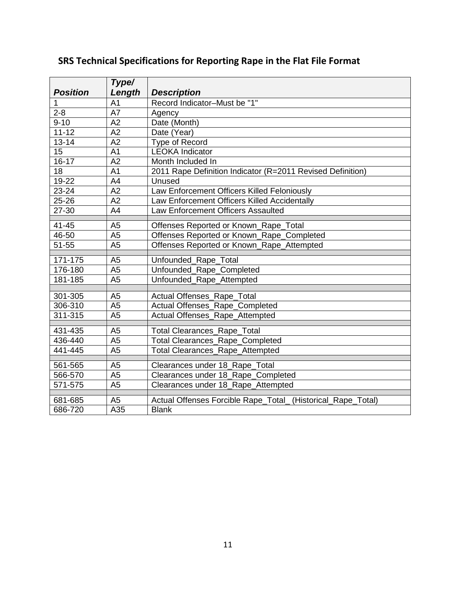| <b>Position</b>    | Type/<br>Length       | <b>Description</b>                                                           |
|--------------------|-----------------------|------------------------------------------------------------------------------|
| 1                  | A <sub>1</sub>        | Record Indicator-Must be "1"                                                 |
| $2 - 8$            | A7                    | Agency                                                                       |
| $9 - 10$           | A2                    | Date (Month)                                                                 |
| $11 - 12$          | A2                    | Date (Year)                                                                  |
| $13 - 14$          | A2                    | Type of Record                                                               |
| 15                 | A <sub>1</sub>        | <b>LEOKA Indicator</b>                                                       |
| $16 - 17$          | A2                    | Month Included In                                                            |
| 18                 | A <sub>1</sub>        | 2011 Rape Definition Indicator (R=2011 Revised Definition)                   |
| 19-22              | A <sub>4</sub>        | Unused                                                                       |
| $23 - 24$          | A2                    | Law Enforcement Officers Killed Feloniously                                  |
| $25 - 26$          | A2                    | Law Enforcement Officers Killed Accidentally                                 |
| 27-30              | A <sub>4</sub>        | Law Enforcement Officers Assaulted                                           |
| $41 - 45$          | A <sub>5</sub>        | Offenses Reported or Known_Rape_Total                                        |
| 46-50              | A <sub>5</sub>        | Offenses Reported or Known_Rape_Completed                                    |
| 51-55              | A <sub>5</sub>        | Offenses Reported or Known_Rape_Attempted                                    |
|                    |                       |                                                                              |
| 171-175            | A <sub>5</sub>        | Unfounded_Rape_Total                                                         |
| 176-180            | A <sub>5</sub>        | Unfounded_Rape_Completed                                                     |
| 181-185            | A <sub>5</sub>        | Unfounded_Rape_Attempted                                                     |
| 301-305            | A <sub>5</sub>        | Actual Offenses_Rape_Total                                                   |
| 306-310            | A <sub>5</sub>        | Actual Offenses_Rape_Completed                                               |
| 311-315            | A <sub>5</sub>        | Actual Offenses_Rape_Attempted                                               |
|                    |                       |                                                                              |
| 431-435            | A <sub>5</sub>        | <b>Total Clearances_Rape_Total</b>                                           |
| 436-440            | A <sub>5</sub>        | <b>Total Clearances Rape Completed</b>                                       |
| 441-445            | A <sub>5</sub>        | <b>Total Clearances_Rape_Attempted</b>                                       |
| 561-565            | A <sub>5</sub>        | Clearances under 18_Rape_Total                                               |
| 566-570            | A <sub>5</sub>        | Clearances under 18_Rape_Completed                                           |
| 571-575            | A <sub>5</sub>        | Clearances under 18_Rape_Attempted                                           |
|                    |                       |                                                                              |
|                    |                       |                                                                              |
| 681-685<br>686-720 | A <sub>5</sub><br>A35 | Actual Offenses Forcible Rape_Total_ (Historical_Rape_Total)<br><b>Blank</b> |

## **SRS Technical Specifications for Reporting Rape in the Flat File Format**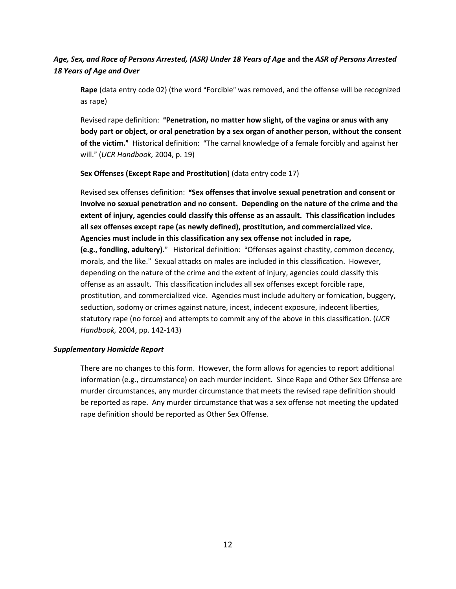## *Age, Sex, and Race of Persons Arrested, (ASR) Under 18 Years of Age* **and the** *ASR of Persons Arrested 18 Years of Age and Over*

Rape (data entry code 02) (the word "Forcible" was removed, and the offense will be recognized as rape)

Revised rape definition: "Penetration, no matter how slight, of the vagina or anus with any **body part or object, or oral penetration by a sex organ of another person, without the consent**  of the victim." Historical definition: "The carnal knowledge of a female forcibly and against her will.@ (*UCR Handbook,* 2004, p. 19)

**Sex Offenses (Except Rape and Prostitution)** (data entry code 17)

Revised sex offenses definition: "Sex offenses that involve sexual penetration and consent or **involve no sexual penetration and no consent. Depending on the nature of the crime and the extent of injury, agencies could classify this offense as an assault. This classification includes all sex offenses except rape (as newly defined), prostitution, and commercialized vice. Agencies must include in this classification any sex offense not included in rape, (e.g., fondling, adultery).**" Historical definition: "Offenses against chastity, common decency, morals, and the like." Sexual attacks on males are included in this classification. However, depending on the nature of the crime and the extent of injury, agencies could classify this offense as an assault. This classification includes all sex offenses except forcible rape, prostitution, and commercialized vice. Agencies must include adultery or fornication, buggery, seduction, sodomy or crimes against nature, incest, indecent exposure, indecent liberties, statutory rape (no force) and attempts to commit any of the above in this classification. (*UCR Handbook,* 2004, pp. 142-143)

#### *Supplementary Homicide Report*

There are no changes to this form. However, the form allows for agencies to report additional information (e.g., circumstance) on each murder incident. Since Rape and Other Sex Offense are murder circumstances, any murder circumstance that meets the revised rape definition should be reported as rape. Any murder circumstance that was a sex offense not meeting the updated rape definition should be reported as Other Sex Offense.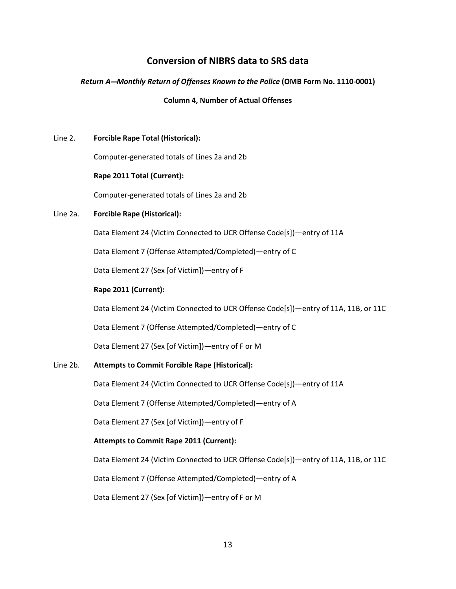## **Conversion of NIBRS data to SRS data**

#### **Return A-Monthly Return of Offenses Known to the Police (OMB Form No. 1110-0001)**

#### **Column 4, Number of Actual Offenses**

#### Line 2. **Forcible Rape Total (Historical):**

Computer-generated totals of Lines 2a and 2b

#### **Rape 2011 Total (Current):**

Computer-generated totals of Lines 2a and 2b

#### Line 2a. **Forcible Rape (Historical):**

Data Element 24 (Victim Connected to UCR Offense Code[s])—entry of 11A

Data Element 7 (Offense Attempted/Completed)—entry of C

Data Element 27 (Sex [of Victim])—entry of F

#### **Rape 2011 (Current):**

Data Element 24 (Victim Connected to UCR Offense Code[s])—entry of 11A, 11B, or 11C

Data Element 7 (Offense Attempted/Completed)—entry of C

Data Element 27 (Sex [of Victim])—entry of F or M

#### Line 2b. **Attempts to Commit Forcible Rape (Historical):**

Data Element 24 (Victim Connected to UCR Offense Code[s])—entry of 11A

Data Element 7 (Offense Attempted/Completed)—entry of A

Data Element 27 (Sex [of Victim])—entry of F

#### **Attempts to Commit Rape 2011 (Current):**

Data Element 24 (Victim Connected to UCR Offense Code[s])—entry of 11A, 11B, or 11C

Data Element 7 (Offense Attempted/Completed)—entry of A

Data Element 27 (Sex [of Victim])—entry of F or M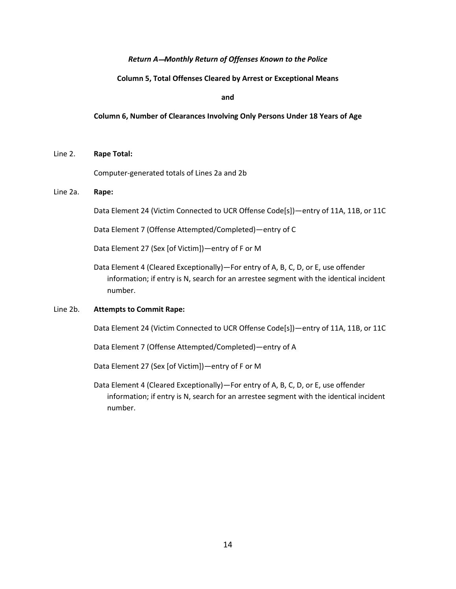#### **Return A-Monthly Return of Offenses Known to the Police**

#### **Column 5, Total Offenses Cleared by Arrest or Exceptional Means**

**and**

**Column 6, Number of Clearances Involving Only Persons Under 18 Years of Age**

Line 2. **Rape Total:**

Computer-generated totals of Lines 2a and 2b

#### Line 2a. **Rape:**

Data Element 24 (Victim Connected to UCR Offense Code[s])—entry of 11A, 11B, or 11C

Data Element 7 (Offense Attempted/Completed)—entry of C

Data Element 27 (Sex [of Victim])—entry of F or M

Data Element 4 (Cleared Exceptionally)—For entry of A, B, C, D, or E, use offender information; if entry is N, search for an arrestee segment with the identical incident number.

#### Line 2b. **Attempts to Commit Rape:**

Data Element 24 (Victim Connected to UCR Offense Code[s])—entry of 11A, 11B, or 11C

Data Element 7 (Offense Attempted/Completed)—entry of A

Data Element 27 (Sex [of Victim])—entry of F or M

Data Element 4 (Cleared Exceptionally)—For entry of A, B, C, D, or E, use offender information; if entry is N, search for an arrestee segment with the identical incident number.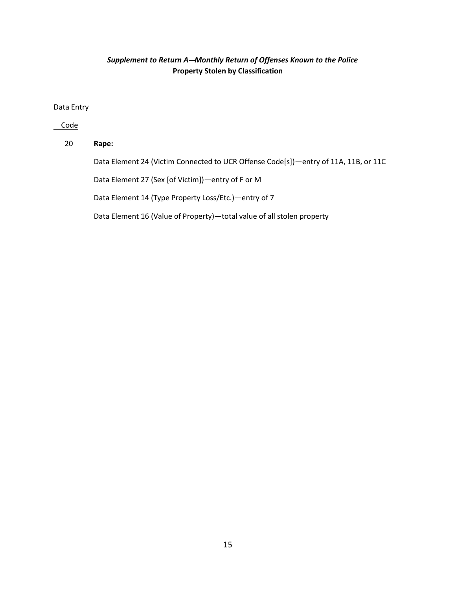#### **Supplement to Return A-Monthly Return of Offenses Known to the Police Property Stolen by Classification**

Data Entry

Code

#### 20 **Rape:**

 Data Element 24 (Victim Connected to UCR Offense Code[s])—entry of 11A, 11B, or 11C Data Element 27 (Sex [of Victim])—entry of F or M Data Element 14 (Type Property Loss/Etc.)—entry of 7 Data Element 16 (Value of Property)—total value of all stolen property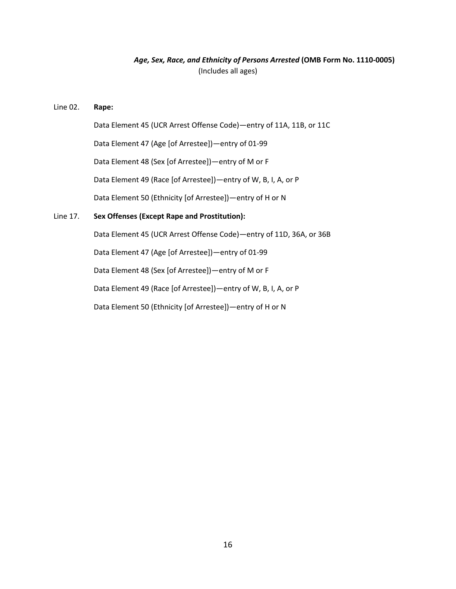## *Age, Sex, Race, and Ethnicity of Persons Arrested* **(OMB Form No. 1110-0005)** (Includes all ages)

#### Line 02. **Rape:**

Data Element 45 (UCR Arrest Offense Code)—entry of 11A, 11B, or 11C Data Element 47 (Age [of Arrestee])—entry of 01-99 Data Element 48 (Sex [of Arrestee])—entry of M or F Data Element 49 (Race [of Arrestee])—entry of W, B, I, A, or P Data Element 50 (Ethnicity [of Arrestee])—entry of H or N

#### Line 17. **Sex Offenses (Except Rape and Prostitution):**

Data Element 45 (UCR Arrest Offense Code)—entry of 11D, 36A, or 36B Data Element 47 (Age [of Arrestee])—entry of 01-99 Data Element 48 (Sex [of Arrestee])—entry of M or F Data Element 49 (Race [of Arrestee])—entry of W, B, I, A, or P Data Element 50 (Ethnicity [of Arrestee])—entry of H or N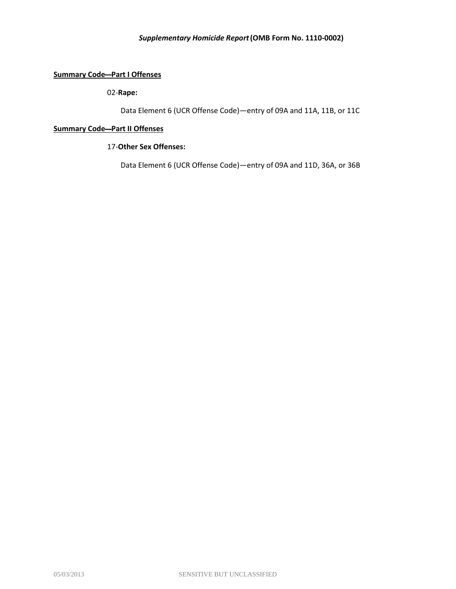#### **Summary Code-Part I Offenses**

02-**Rape:**

Data Element 6 (UCR Offense Code)—entry of 09A and 11A, 11B, or 11C

#### **Summary Code-Part II Offenses**

#### 17-**Other Sex Offenses:**

Data Element 6 (UCR Offense Code)—entry of 09A and 11D, 36A, or 36B